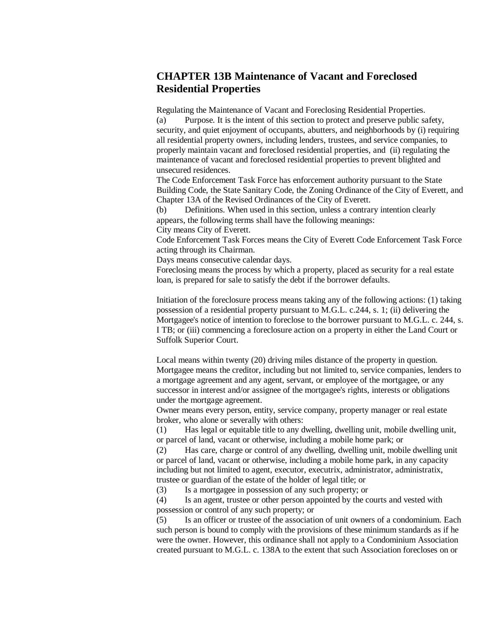## **CHAPTER 13B Maintenance of Vacant and Foreclosed Residential Properties**

Regulating the Maintenance of Vacant and Foreclosing Residential Properties.

(a) Purpose. It is the intent of this section to protect and preserve public safety, security, and quiet enjoyment of occupants, abutters, and neighborhoods by (i) requiring all residential property owners, including lenders, trustees, and service companies, to properly maintain vacant and foreclosed residential properties, and (ii) regulating the maintenance of vacant and foreclosed residential properties to prevent blighted and unsecured residences.

The Code Enforcement Task Force has enforcement authority pursuant to the State Building Code, the State Sanitary Code, the Zoning Ordinance of the City of Everett, and Chapter 13A of the Revised Ordinances of the City of Everett.

(b) Definitions. When used in this section, unless a contrary intention clearly appears, the following terms shall have the following meanings:

City means City of Everett.

Code Enforcement Task Forces means the City of Everett Code Enforcement Task Force acting through its Chairman.

Days means consecutive calendar days.

Foreclosing means the process by which a property, placed as security for a real estate loan, is prepared for sale to satisfy the debt if the borrower defaults.

Initiation of the foreclosure process means taking any of the following actions: (1) taking possession of a residential property pursuant to M.G.L. c.244, s. 1; (ii) delivering the Mortgagee's notice of intention to foreclose to the borrower pursuant to M.G.L. c. 244, s. I TB; or (iii) commencing a foreclosure action on a property in either the Land Court or Suffolk Superior Court.

Local means within twenty (20) driving miles distance of the property in question. Mortgagee means the creditor, including but not limited to, service companies, lenders to a mortgage agreement and any agent, servant, or employee of the mortgagee, or any successor in interest and/or assignee of the mortgagee's rights, interests or obligations under the mortgage agreement.

Owner means every person, entity, service company, property manager or real estate broker, who alone or severally with others:

(1) Has legal or equitable title to any dwelling, dwelling unit, mobile dwelling unit, or parcel of land, vacant or otherwise, including a mobile home park; or

(2) Has care, charge or control of any dwelling, dwelling unit, mobile dwelling unit or parcel of land, vacant or otherwise, including a mobile home park, in any capacity including but not limited to agent, executor, executrix, administrator, administratix, trustee or guardian of the estate of the holder of legal title; or

(3) Is a mortgagee in possession of any such property; or

(4) Is an agent, trustee or other person appointed by the courts and vested with possession or control of any such property; or

(5) Is an officer or trustee of the association of unit owners of a condominium. Each such person is bound to comply with the provisions of these minimum standards as if he were the owner. However, this ordinance shall not apply to a Condominium Association created pursuant to M.G.L. c. 138A to the extent that such Association forecloses on or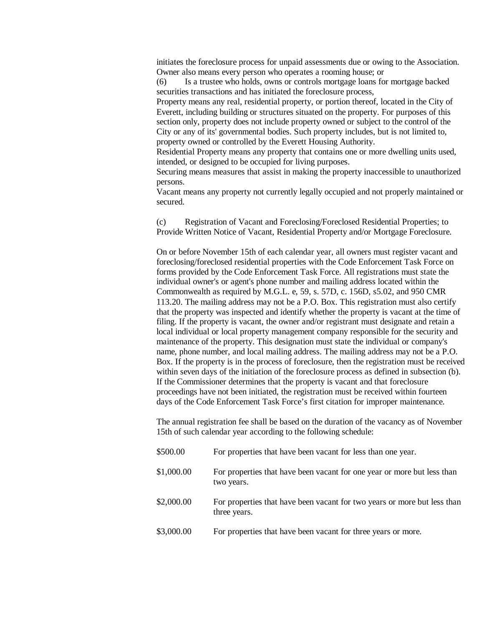initiates the foreclosure process for unpaid assessments due or owing to the Association. Owner also means every person who operates a rooming house; or

(6) Is a trustee who holds, owns or controls mortgage loans for mortgage backed securities transactions and has initiated the foreclosure process,

Property means any real, residential property, or portion thereof, located in the City of Everett, including building or structures situated on the property. For purposes of this section only, property does not include property owned or subject to the control of the City or any of its' governmental bodies. Such property includes, but is not limited to, property owned or controlled by the Everett Housing Authority.

Residential Property means any property that contains one or more dwelling units used, intended, or designed to be occupied for living purposes.

Securing means measures that assist in making the property inaccessible to unauthorized persons.

Vacant means any property not currently legally occupied and not properly maintained or secured.

(c) Registration of Vacant and Foreclosing/Foreclosed Residential Properties; to Provide Written Notice of Vacant, Residential Property and/or Mortgage Foreclosure.

On or before November 15th of each calendar year, all owners must register vacant and foreclosing/foreclosed residential properties with the Code Enforcement Task Force on forms provided by the Code Enforcement Task Force. All registrations must state the individual owner's or agent's phone number and mailing address located within the Commonwealth as required by M.G.L. e, 59, s. 57D, c. 156D, s5.02, and 950 CMR 113.20. The mailing address may not be a P.O. Box. This registration must also certify that the property was inspected and identify whether the property is vacant at the time of filing. If the property is vacant, the owner and/or registrant must designate and retain a local individual or local property management company responsible for the security and maintenance of the property. This designation must state the individual or company's name, phone number, and local mailing address. The mailing address may not be a P.O. Box. If the property is in the process of foreclosure, then the registration must be received within seven days of the initiation of the foreclosure process as defined in subsection (b). If the Commissioner determines that the property is vacant and that foreclosure proceedings have not been initiated, the registration must be received within fourteen days of the Code Enforcement Task Force's first citation for improper maintenance.

The annual registration fee shall be based on the duration of the vacancy as of November 15th of such calendar year according to the following schedule:

| \$500.00   | For properties that have been vacant for less than one year.                             |
|------------|------------------------------------------------------------------------------------------|
| \$1,000.00 | For properties that have been vacant for one year or more but less than<br>two years.    |
| \$2,000.00 | For properties that have been vacant for two years or more but less than<br>three years. |
| \$3,000.00 | For properties that have been vacant for three years or more.                            |